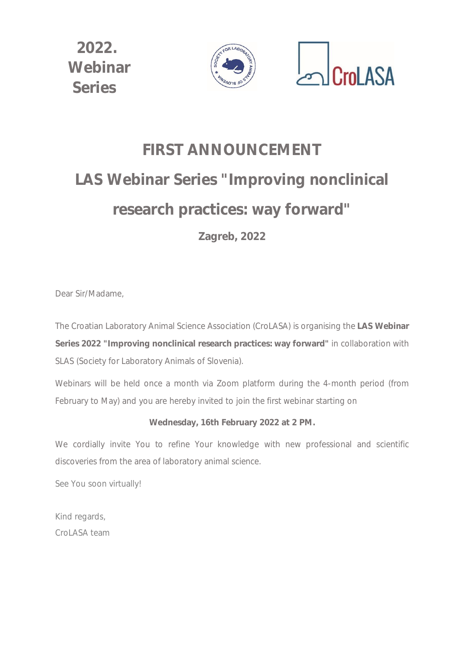

# **FIRST ANNOUNCEMENT LAS Webinar Series "Improving nonclinical research practices: way forward"**

**Zagreb, 2022**

Dear Sir/Madame,

The Croatian Laboratory Animal Science Association (CroLASA) is organising the **LAS Webinar Series 2022 "Improving nonclinical research practices: way forward"** in collaboration with SLAS (Society for Laboratory Animals of Slovenia).

Webinars will be held once a month *via* Zoom platform during the 4-month period (from February to May) and you are hereby invited to join the first webinar starting on

### **Wednesday, 16th February 2022 at 2 PM.**

We cordially invite You to refine Your knowledge with new professional and scientific discoveries from the area of laboratory animal science.

See You soon virtually!

Kind regards, CroLASA team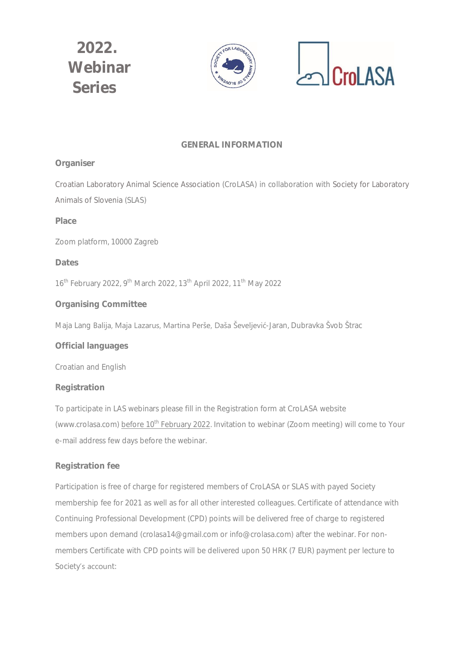

### **GENERAL INFORMATION**

### *Organiser*

Croatian Laboratory Animal Science Association (CroLASA) in collaboration with Society for Laboratory Animals of Slovenia (SLAS)

### *Place*

Zoom platform, 10000 Zagreb

### *Dates*

16<sup>th</sup> February 2022, 9<sup>th</sup> March 2022, 13<sup>th</sup> April 2022, 11<sup>th</sup> May 2022

### *Organising Committee*

Maja Lang Balija, Maja Lazarus, Martina Perše, Daša Ševeljević-Jaran, Dubravka Švob Štrac

### *Official languages*

Croatian and English

#### *Registration*

To participate in LAS webinars please fill in the Registration form at CroLASA website (www.crolasa.com) before 10<sup>th</sup> February 2022. Invitation to webinar (Zoom meeting) will come to Your e-mail address few days before the webinar.

### *Registration fee*

Participation is free of charge for registered members of CroLASA or SLAS with payed Society membership fee for 2021 as well as for all other interested colleagues. Certificate of attendance with Continuing Professional Development (CPD) points will be delivered free of charge to registered members upon demand (crolasa14@gmail.com or info@crolasa.com) after the webinar. For nonmembers Certificate with CPD points will be delivered upon 50 HRK (7 EUR) payment per lecture to Society's account: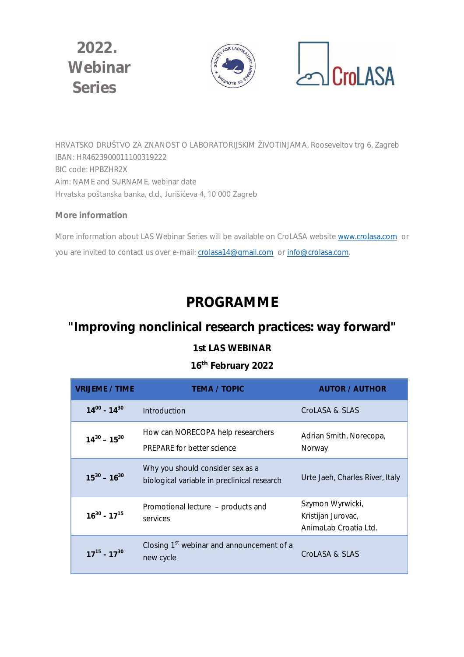



HRVATSKO DRUŠTVO ZA ZNANOST O LABORATORIJSKIM ŽIVOTINJAMA, Rooseveltov trg 6, Zagreb IBAN: HR4623900011100319222 BIC code: HPBZHR2X Aim: NAME and SURNAME, webinar date Hrvatska poštanska banka, d.d., Jurišićeva 4, 10 000 Zagreb

### *More information*

More information about LAS Webinar Series will be available on CroLASA website www.crolasa.com or you are invited to contact us over e-mail: crolasa14@gmail.com or info@crolasa.com.

# **PROGRAMME**

# **"Improving nonclinical research practices: way forward"**

### **1st LAS WEBINAR**

# **16th February 2022**

| <b>VRIJEME / TIME</b> | <b>TEMA / TOPIC</b>                                                             | <b>AUTOR / AUTHOR</b>                                           |
|-----------------------|---------------------------------------------------------------------------------|-----------------------------------------------------------------|
| $14^{00}$ - $14^{30}$ | Introduction                                                                    | CroLASA & SLAS                                                  |
| $14^{30} - 15^{30}$   | How can NORECOPA help researchers<br><b>PREPARE</b> for better science          | Adrian Smith, Norecopa,<br>Norway                               |
| $15^{30} - 16^{30}$   | Why you should consider sex as a<br>biological variable in preclinical research | Urte Jaeh, Charles River, Italy                                 |
| $16^{30} - 17^{15}$   | Promotional lecture - products and<br>services                                  | Szymon Wyrwicki,<br>Kristijan Jurovac,<br>AnimaLab Croatia Ltd. |
| $17^{15} - 17^{30}$   | Closing 1 <sup>st</sup> webinar and announcement of a<br>new cycle              | CroLASA & SLAS                                                  |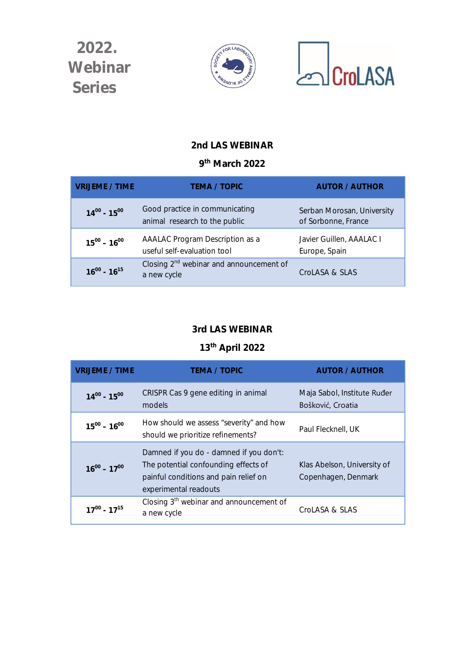



## **2nd LAS WEBINAR**

### **9 th March 2022**

| <b>VRIJEME / TIME</b> | <b>TEMA / TOPIC</b>                                             | <b>AUTOR / AUTHOR</b>                             |
|-----------------------|-----------------------------------------------------------------|---------------------------------------------------|
| $14^{00} - 15^{00}$   | Good practice in communicating<br>animal research to the public | Serban Morosan, University<br>of Sorbonne, France |
| $15^{00} - 16^{00}$   | AAALAC Program Description as a<br>useful self-evaluation tool  | Javier Guillen, AAALAC I<br>Europe, Spain         |
| $16^{00} - 16^{15}$   | Closing $2^{nd}$ webinar and announcement of<br>a new cycle     | CroLASA & SLAS                                    |

### **3rd LAS WEBINAR**

# **13th April 2022**

| <b>VRIJEME / TIME</b> | <b>TEMA / TOPIC</b>                                                                                                                               | <b>AUTOR / AUTHOR</b>                              |
|-----------------------|---------------------------------------------------------------------------------------------------------------------------------------------------|----------------------------------------------------|
| $14^{00} - 15^{00}$   | CRISPR Cas 9 gene editing in animal<br>models                                                                                                     | Maja Sabol, Institute Ruđer<br>Bošković, Croatia   |
| $15^{00} - 16^{00}$   | How should we assess "severity" and how<br>should we prioritize refinements?                                                                      | Paul Flecknell, UK                                 |
| $16^{00} - 17^{00}$   | Damned if you do - damned if you don't:<br>The potential confounding effects of<br>painful conditions and pain relief on<br>experimental readouts | Klas Abelson, University of<br>Copenhagen, Denmark |
| $17^{00} - 17^{15}$   | Closing $3th$ webinar and announcement of<br>a new cycle                                                                                          | CroLASA & SLAS                                     |